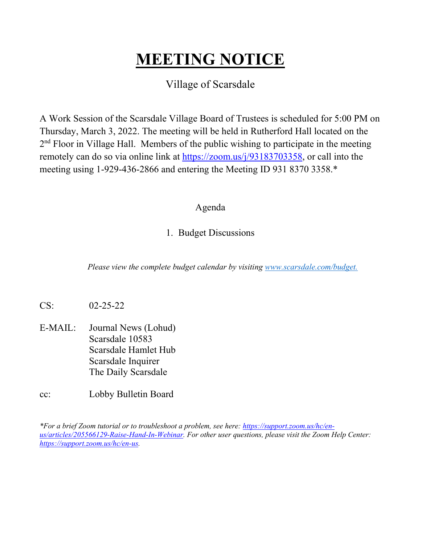#### **MEETING NOTICE**

#### Village of Scarsdale

A Work Session of the Scarsdale Village Board of Trustees is scheduled for 5:00 PM on Thursday, March 3, 2022. The meeting will be held in Rutherford Hall located on the 2<sup>nd</sup> Floor in Village Hall. Members of the public wishing to participate in the meeting remotely can do so via online link at https://zoom.us/j/93183703358, or call into the meeting using 1-929-436-2866 and entering the Meeting ID 931 8370 3358.\*

#### Agenda

#### 1. Budget Discussions

*Please view the complete budget calendar by visiting www.scarsdale.com/budget.*

- CS: 02-25-22
- E-MAIL: Journal News (Lohud) Scarsdale 10583 Scarsdale Hamlet Hub Scarsdale Inquirer The Daily Scarsdale
- cc: Lobby Bulletin Board

*\*For a brief Zoom tutorial or to troubleshoot a problem, see here: https://support.zoom.us/hc/enus/articles/205566129-Raise-Hand-In-Webinar. For other user questions, please visit the Zoom Help Center: https://support.zoom.us/hc/en-us.*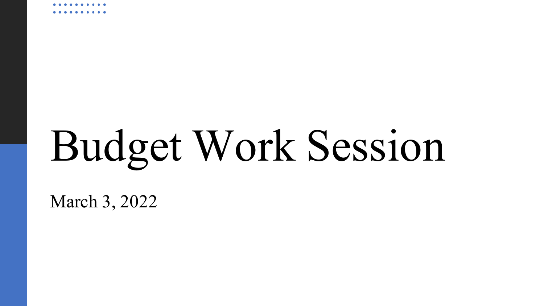# Budget Work Session

March 3, 2022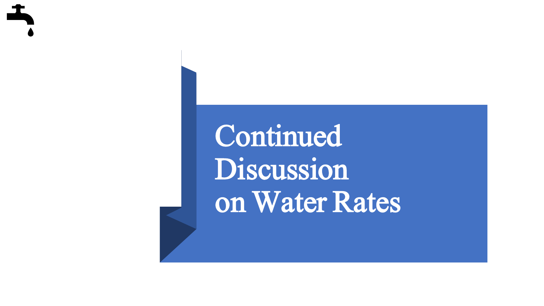### Continued Discussion on Water Rates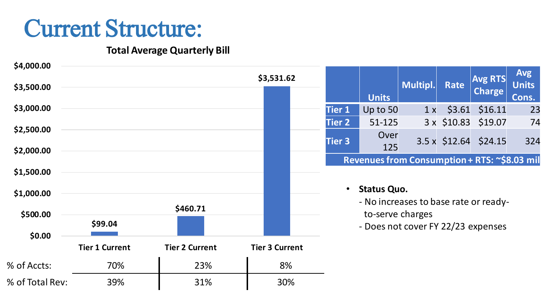### Current Structure:

#### **Total Average Quarterly Bill**

| \$4,000.00<br>\$3,500.00 |                       |                       | \$3,531.62            |           | <b>Units</b>                                                | Multipl. | Rate | <b>Avg RTS</b><br><b>Charge</b> | <b>Avg</b><br><b>Units</b><br>Cons. |
|--------------------------|-----------------------|-----------------------|-----------------------|-----------|-------------------------------------------------------------|----------|------|---------------------------------|-------------------------------------|
| \$3,000.00               |                       |                       |                       | Tier 1    | Up to 50                                                    | 1 x      |      | $$3.61$ $$16.11$                | 23                                  |
| \$2,500.00               |                       |                       |                       | Tier 2    | 51-125                                                      |          |      | 3 x \$10.83 \$19.07             | 74                                  |
| \$2,000.00               |                       |                       |                       | Tier 3    | Over<br>125                                                 |          |      | $3.5 \times$ \$12.64 \$24.15    | 324                                 |
|                          |                       |                       |                       |           | Revenues from Consumption + RTS: ~\$8.03 mil                |          |      |                                 |                                     |
| \$1,500.00<br>\$1,000.00 |                       |                       |                       | $\bullet$ | <b>Status Quo.</b><br>- No increases to base rate or ready- |          |      |                                 |                                     |
| \$500.00                 |                       | \$460.71              |                       |           | to-serve charges                                            |          |      |                                 |                                     |
| \$0.00                   | \$99.04               |                       |                       |           | - Does not cover FY 22/23 expenses                          |          |      |                                 |                                     |
|                          | <b>Tier 1 Current</b> | <b>Tier 2 Current</b> | <b>Tier 3 Current</b> |           |                                                             |          |      |                                 |                                     |
| % of Accts:              | 70%                   | 23%                   | 8%                    |           |                                                             |          |      |                                 |                                     |
| % of Total Rev:          | 39%                   | 31%                   | 30%                   |           |                                                             |          |      |                                 |                                     |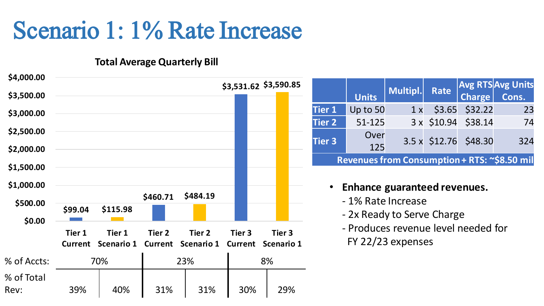### Scenario 1: 1% Rate Increase

#### **Total Average Quarterly Bill**

| \$4,000.00         |                          |                      |                   |                             |                          |                      |               |              |                                                          |      |                              |                                              |
|--------------------|--------------------------|----------------------|-------------------|-----------------------------|--------------------------|----------------------|---------------|--------------|----------------------------------------------------------|------|------------------------------|----------------------------------------------|
| \$3,500.00         |                          |                      |                   |                             | \$3,531.62 \$3,590.85    |                      |               | <b>Units</b> | Multipl.                                                 | Rate | <b>Charge</b>                | <b>Avg RTS Avg Units</b><br>Cons.            |
| \$3,000.00         |                          |                      |                   |                             |                          |                      | <b>Tier 1</b> | Up to 50     | 1 x                                                      |      | $$3.65$ $$32.22$             | 23                                           |
|                    |                          |                      |                   |                             |                          |                      | Tier 2        | 51-125       |                                                          |      | 3 x \$10.94 \$38.14          | 74                                           |
| \$2,500.00         |                          |                      |                   |                             |                          |                      | Tier 3        | Over         |                                                          |      | $3.5 \times$ \$12.76 \$48.30 | 324                                          |
| \$2,000.00         |                          |                      |                   |                             |                          |                      |               | 125          |                                                          |      |                              |                                              |
| \$1,500.00         |                          |                      |                   |                             |                          |                      |               |              |                                                          |      |                              | Revenues from Consumption + RTS: ~\$8.50 mil |
| \$1,000.00         |                          |                      | \$460.71          | \$484.19                    |                          |                      |               |              | <b>Enhance guaranteed revenues.</b>                      |      |                              |                                              |
| \$500.00           | \$99.04                  | \$115.98             |                   |                             |                          |                      |               |              | - 1% Rate Increase<br>- 2x Ready to Serve Charge         |      |                              |                                              |
| \$0.00             | Tier 1<br><b>Current</b> | Tier 1<br>Scenario 1 | Tier 2<br>Current | Tier 2<br><b>Scenario 1</b> | Tier 3<br><b>Current</b> | Tier 3<br>Scenario 1 |               |              | - Produces revenue level needed for<br>FY 22/23 expenses |      |                              |                                              |
| % of Accts:        |                          | 70%                  |                   | 23%                         |                          | 8%                   |               |              |                                                          |      |                              |                                              |
| % of Total<br>Rev: | 39%                      | 40%                  | 31%               | 31%                         | 30%                      | 29%                  |               |              |                                                          |      |                              |                                              |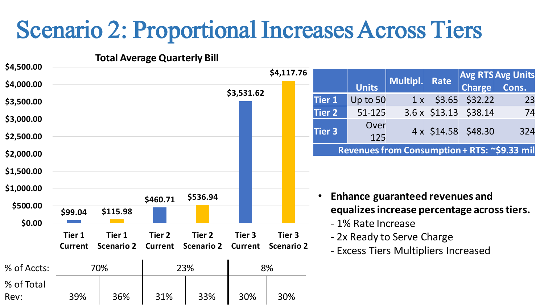### Scenario 2: Proportional Increases Across Tiers

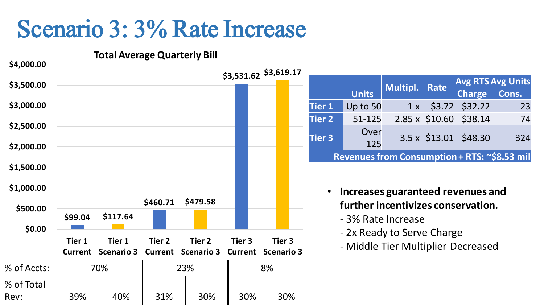### Scenario 3: 3% Rate Increase

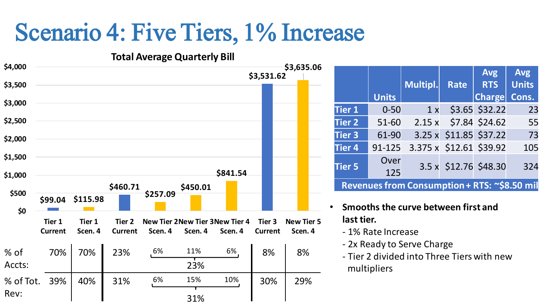### Scenario 4: Five Tiers, 1% Increase



|                   | <b>Units</b> | Multipl.                                     | Rate                    | <b>Avg</b><br><b>RTS</b><br><b>Charge</b> | <b>Avg</b><br><b>Units</b><br>Cons. |
|-------------------|--------------|----------------------------------------------|-------------------------|-------------------------------------------|-------------------------------------|
| Tier 1            | $0 - 50$     | 1 x                                          |                         | \$3.65 \$32.22                            | 23                                  |
| Tier <sub>2</sub> | 51-60        | 2.15 x                                       |                         | \$7.84 \$24.62                            | 55                                  |
| Tier <sub>3</sub> | 61-90        |                                              | 3.25 x \$11.85 \$37.22  |                                           | 73                                  |
| Tier <sub>4</sub> | 91-125       |                                              | 3.375 x \$12.61 \$39.92 |                                           | 105                                 |
| <b>Tier 5</b>     | Over<br>125  |                                              | 3.5 x \$12.76 \$48.30   |                                           | 324                                 |
|                   |              | Revenues from Consumption + RTS: ~\$8.50 mil |                         |                                           |                                     |

- **Smooths the curve between first and last tier.** 
	- 1% Rate Increase
	- 2x Ready to Serve Charge
	- Tier 2 divided into Three Tiers with new multipliers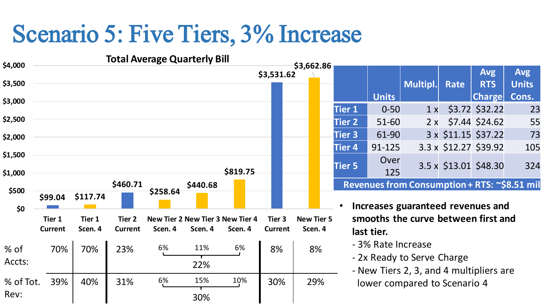### Scenario 5: Five Tiers, 3% Increase

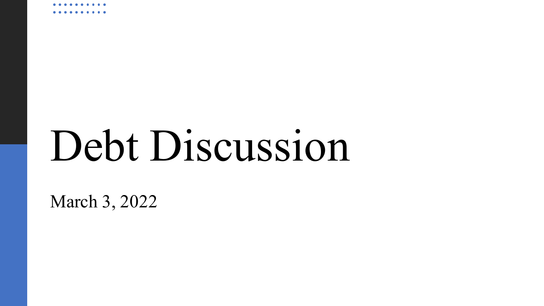## Debt Discussion

March 3, 2022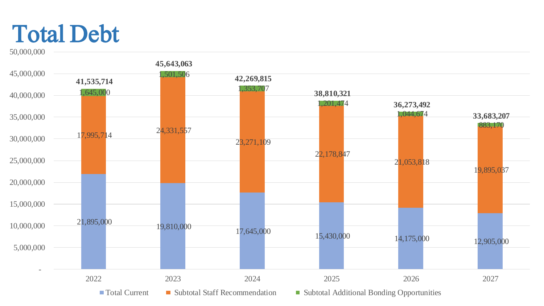### Total Debt

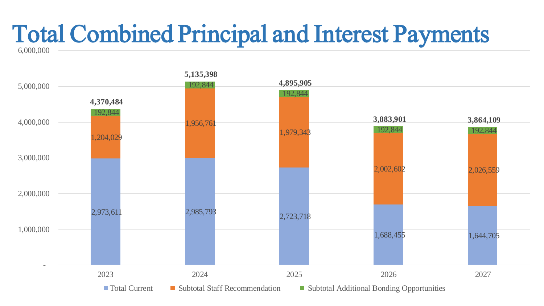### Total Combined Principal and Interest Payments

6,000,000

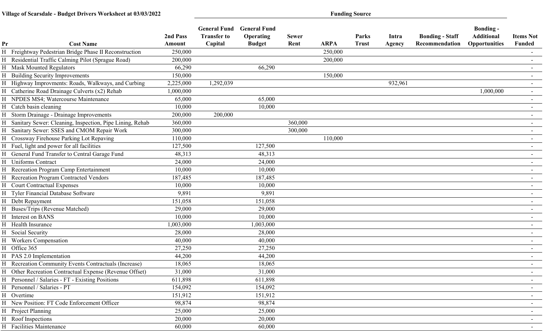**Village of Scarsdale - Budget Drivers Worksheet at 03/03/2022**

|    | Village of Scarsdale - Budget Drivers Worksheet at 03/03/2022 |                    |                                                      |                                                          |                      | <b>Funding Source</b> |                       |                 |                                          |                                                        |                            |
|----|---------------------------------------------------------------|--------------------|------------------------------------------------------|----------------------------------------------------------|----------------------|-----------------------|-----------------------|-----------------|------------------------------------------|--------------------------------------------------------|----------------------------|
| Pr | <b>Cost Name</b>                                              | 2nd Pass<br>Amount | <b>General Fund</b><br><b>Transfer to</b><br>Capital | <b>General Fund</b><br><b>Operating</b><br><b>Budget</b> | <b>Sewer</b><br>Rent | <b>ARPA</b>           | Parks<br><b>Trust</b> | Intra<br>Agency | <b>Bonding - Staff</b><br>Recommendation | <b>Bonding -</b><br>Additional<br><b>Opportunities</b> | <b>Items Not</b><br>Funded |
| H  | Freightway Pedestrian Bridge Phase II Reconstruction          | 250,000            |                                                      |                                                          |                      | 250,000               |                       |                 |                                          |                                                        |                            |
|    | H Residential Traffic Calming Pilot (Sprague Road)            | 200,000            |                                                      |                                                          |                      | 200,000               |                       |                 |                                          |                                                        |                            |
|    | H Mask Mounted Regulators                                     | 66,290             |                                                      | 66,290                                                   |                      |                       |                       |                 |                                          |                                                        |                            |
|    | H Building Security Improvements                              | 150,000            |                                                      |                                                          |                      | 150,000               |                       |                 |                                          |                                                        |                            |
|    | Highway Improvments: Roads, Walkways, and Curbing             | 2,225,000          | 1,292,039                                            |                                                          |                      |                       |                       | 932,961         |                                          |                                                        |                            |
|    | H Catherine Road Drainage Culverts (x2) Rehab                 | 1,000,000          |                                                      |                                                          |                      |                       |                       |                 |                                          | 1,000,000                                              | $\sim$                     |
|    | H NPDES MS4; Watercourse Maintenance                          | 65,000             |                                                      | 65,000                                                   |                      |                       |                       |                 |                                          |                                                        | $\sim$                     |
|    | H Catch basin cleaning                                        | 10,000             |                                                      | 10,000                                                   |                      |                       |                       |                 |                                          |                                                        |                            |
|    | H Storm Drainage - Drainage Improvements                      | 200,000            | 200,000                                              |                                                          |                      |                       |                       |                 |                                          |                                                        |                            |
|    | Sanitary Sewer: Cleaning, Inspection, Pipe Lining, Rehab      | 360,000            |                                                      |                                                          | 360,000              |                       |                       |                 |                                          |                                                        |                            |
|    | H Sanitary Sewer: SSES and CMOM Repair Work                   | 300,000            |                                                      |                                                          | 300,000              |                       |                       |                 |                                          |                                                        | $\sim$                     |
|    | H Crossway Firehouse Parking Lot Repaving                     | 110,000            |                                                      |                                                          |                      | 110,000               |                       |                 |                                          |                                                        |                            |
|    | H Fuel, light and power for all facilities                    | 127,500            |                                                      | 127,500                                                  |                      |                       |                       |                 |                                          |                                                        | $\sim$                     |
|    | H General Fund Transfer to Central Garage Fund                | 48,313             |                                                      | 48,313                                                   |                      |                       |                       |                 |                                          |                                                        |                            |
|    | H Uniforms Contract                                           | 24,000             |                                                      | 24,000                                                   |                      |                       |                       |                 |                                          |                                                        |                            |
|    | H Recreation Program Camp Entertainment                       | 10,000             |                                                      | 10,000                                                   |                      |                       |                       |                 |                                          |                                                        |                            |
|    | H Recreation Program Contracted Vendors                       | 187,485            |                                                      | 187,485                                                  |                      |                       |                       |                 |                                          |                                                        |                            |
|    | H Court Contractual Expenses                                  | 10,000             |                                                      | 10,000                                                   |                      |                       |                       |                 |                                          |                                                        |                            |
|    | H Tyler Financial Database Software                           | 9,891              |                                                      | 9,891                                                    |                      |                       |                       |                 |                                          |                                                        | $\sim$                     |
|    | H Debt Repayment                                              | 151,058            |                                                      | 151,058                                                  |                      |                       |                       |                 |                                          |                                                        |                            |
|    | H Buses/Trips (Revenue Matched)                               | 29,000             |                                                      | 29,000                                                   |                      |                       |                       |                 |                                          |                                                        |                            |
|    | H Interest on BANS                                            | 10,000             |                                                      | 10,000                                                   |                      |                       |                       |                 |                                          |                                                        |                            |
|    | H Health Insurance                                            | 1,003,000          |                                                      | 1,003,000                                                |                      |                       |                       |                 |                                          |                                                        |                            |
|    | H Social Security                                             | 28,000             |                                                      | 28,000                                                   |                      |                       |                       |                 |                                          |                                                        |                            |
|    | H Workers Compensation                                        | 40,000             |                                                      | 40,000                                                   |                      |                       |                       |                 |                                          |                                                        | $\sim$                     |
|    | H Office 365                                                  | 27,250             |                                                      | 27,250                                                   |                      |                       |                       |                 |                                          |                                                        |                            |
|    | H PAS 2.0 Implementation                                      | 44,200             |                                                      | 44,200                                                   |                      |                       |                       |                 |                                          |                                                        | $\sim$                     |
|    | H Recreation Community Events Contractuals (Increase)         | 18,065             |                                                      | 18,065                                                   |                      |                       |                       |                 |                                          |                                                        |                            |
|    | H Other Recreation Contractual Expense (Revenue Offset)       | 31,000             |                                                      | 31,000                                                   |                      |                       |                       |                 |                                          |                                                        |                            |
|    | H Personnel / Salaries - FT - Existing Positions              | 611,898            |                                                      | 611,898                                                  |                      |                       |                       |                 |                                          |                                                        | $\sim$                     |
|    | H Personnel / Salaries - PT                                   | 154,092            |                                                      | 154,092                                                  |                      |                       |                       |                 |                                          |                                                        | $\sim$                     |
|    | H Overtime                                                    | 151,912            |                                                      | 151,912                                                  |                      |                       |                       |                 |                                          |                                                        | $\sim$                     |
|    | H New Position: FT Code Enforcement Officer                   | 98,874             |                                                      | 98,874                                                   |                      |                       |                       |                 |                                          |                                                        |                            |
|    | H Project Planning                                            | 25,000             |                                                      | 25,000                                                   |                      |                       |                       |                 |                                          |                                                        |                            |
|    | H Roof Inspections                                            | 20,000             |                                                      | 20,000                                                   |                      |                       |                       |                 |                                          |                                                        |                            |
|    | H Facilities Maintenance                                      | 60,000             |                                                      | 60,000                                                   |                      |                       |                       |                 |                                          |                                                        |                            |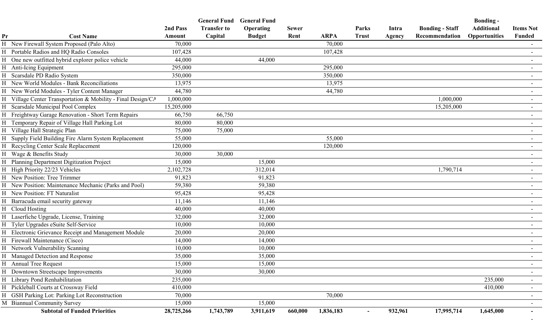|    |                                                              |            | <b>General Fund General Fund</b> |               |              |             |              |         |                        | <b>Bonding -</b>     |                  |
|----|--------------------------------------------------------------|------------|----------------------------------|---------------|--------------|-------------|--------------|---------|------------------------|----------------------|------------------|
|    |                                                              | 2nd Pass   | <b>Transfer to</b>               | Operating     | <b>Sewer</b> |             | Parks        | Intra   | <b>Bonding - Staff</b> | <b>Additional</b>    | <b>Items Not</b> |
| Pr | <b>Cost Name</b>                                             | Amount     | Capital                          | <b>Budget</b> | Rent         | <b>ARPA</b> | <b>Trust</b> | Agency  | Recommendation         | <b>Opportunities</b> | <b>Funded</b>    |
|    | H New Firewall System Proposed (Palo Alto)                   | 70,000     |                                  |               |              | 70,000      |              |         |                        |                      |                  |
|    | H Portable Radios and HQ Radio Consoles                      | 107,428    |                                  |               |              | 107,428     |              |         |                        |                      |                  |
|    | H One new outfitted hybrid explorer police vehicle           | 44,000     |                                  | 44,000        |              |             |              |         |                        |                      |                  |
|    | H Anti-Icing Equipment                                       | 295,000    |                                  |               |              | 295,000     |              |         |                        |                      |                  |
|    | H Scarsdale PD Radio System                                  | 350,000    |                                  |               |              | 350,000     |              |         |                        |                      | $\sim$           |
|    | H New World Modules - Bank Reconciliations                   | 13,975     |                                  |               |              | 13,975      |              |         |                        |                      |                  |
|    | H New World Modules - Tyler Content Manager                  | 44,780     |                                  |               |              | 44,780      |              |         |                        |                      |                  |
|    | H Village Center Transportation & Mobility - Final Design/CA | 1,000,000  |                                  |               |              |             |              |         | 1,000,000              |                      |                  |
|    | H Scarsdale Municipal Pool Complex                           | 15,205,000 |                                  |               |              |             |              |         | 15,205,000             |                      |                  |
|    | H Freightway Garage Renovation - Short Term Repairs          | 66,750     | 66,750                           |               |              |             |              |         |                        |                      |                  |
|    | H Temporary Repair of Village Hall Parking Lot               | 80,000     | 80,000                           |               |              |             |              |         |                        |                      |                  |
|    | H Village Hall Strategic Plan                                | 75,000     | 75,000                           |               |              |             |              |         |                        |                      |                  |
|    | H Supply Field Building Fire Alarm System Replacement        | 55,000     |                                  |               |              | 55,000      |              |         |                        |                      | $\sim$           |
|    | H Recycling Center Scale Replacement                         | 120,000    |                                  |               |              | 120,000     |              |         |                        |                      |                  |
|    | H Wage & Benefits Study                                      | 30,000     | 30,000                           |               |              |             |              |         |                        |                      |                  |
|    | H Planning Department Digitization Project                   | 15,000     |                                  | 15,000        |              |             |              |         |                        |                      |                  |
|    | H High Priority 22/23 Vehicles                               | 2,102,728  |                                  | 312,014       |              |             |              |         | 1,790,714              |                      |                  |
|    | H New Position: Tree Trimmer                                 | 91,823     |                                  | 91,823        |              |             |              |         |                        |                      | $\sim$           |
|    | H New Position: Maintenance Mechanic (Parks and Pool)        | 59,380     |                                  | 59,380        |              |             |              |         |                        |                      |                  |
|    | H New Position: FT Naturalist                                | 95,428     |                                  | 95,428        |              |             |              |         |                        |                      |                  |
|    | H Barracuda email security gateway                           | 11,146     |                                  | 11,146        |              |             |              |         |                        |                      |                  |
|    | H Cloud Hosting                                              | 40,000     |                                  | 40,000        |              |             |              |         |                        |                      |                  |
|    | H Laserfiche Upgrade, License, Training                      | 32,000     |                                  | 32,000        |              |             |              |         |                        |                      |                  |
|    | H Tyler Upgrades eSuite Self-Service                         | 10,000     |                                  | 10,000        |              |             |              |         |                        |                      | $\sim$           |
|    | H Electronic Grievance Receipt and Management Module         | 20,000     |                                  | 20,000        |              |             |              |         |                        |                      |                  |
|    | H Firewall Maintenance (Cisco)                               | 14,000     |                                  | 14,000        |              |             |              |         |                        |                      |                  |
|    | H Network Vulnerability Scanning                             | 10,000     |                                  | 10,000        |              |             |              |         |                        |                      |                  |
|    | H Managed Detection and Response                             | 35,000     |                                  | 35,000        |              |             |              |         |                        |                      |                  |
|    | H Annual Tree Request                                        | 15,000     |                                  | 15,000        |              |             |              |         |                        |                      |                  |
|    | H Downtown Streetscape Improvements                          | 30,000     |                                  | 30,000        |              |             |              |         |                        |                      |                  |
|    | H Library Pond Renhabilitation                               | 235,000    |                                  |               |              |             |              |         |                        | 235,000              | $\sim$           |
|    | H Pickleball Courts at Crossway Field                        | 410,000    |                                  |               |              |             |              |         |                        | 410,000              |                  |
|    | H GSH Parking Lot: Parking Lot Reconstruction                | 70,000     |                                  |               |              | 70,000      |              |         |                        |                      |                  |
|    | M Biannual Community Survey                                  | 15,000     |                                  | 15,000        |              |             |              |         |                        |                      |                  |
|    | <b>Subtotal of Funded Priorities</b>                         | 28,725,266 | 1,743,789                        | 3,911,619     | 660,000      | 1,836,183   |              | 932,961 | 17,995,714             | 1,645,000            |                  |
|    |                                                              |            |                                  |               |              |             |              |         |                        |                      |                  |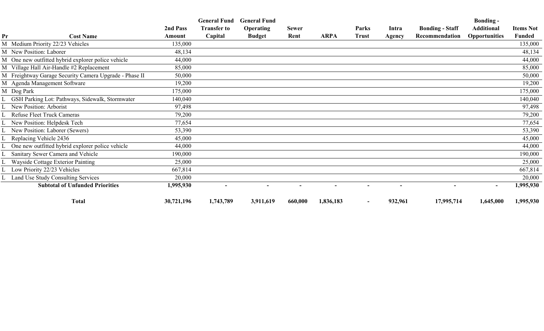|    |                                                        |            | <b>General Fund</b> | <b>General Fund</b> |              |             |              |         |                        | <b>Bonding -</b>     |                  |
|----|--------------------------------------------------------|------------|---------------------|---------------------|--------------|-------------|--------------|---------|------------------------|----------------------|------------------|
|    |                                                        | 2nd Pass   | <b>Transfer to</b>  | <b>Operating</b>    | <b>Sewer</b> |             | Parks        | Intra   | <b>Bonding - Staff</b> | <b>Additional</b>    | <b>Items Not</b> |
| Pr | <b>Cost Name</b>                                       | Amount     | Capital             | <b>Budget</b>       | Rent         | <b>ARPA</b> | <b>Trust</b> | Agency  | Recommendation         | <b>Opportunities</b> | Funded           |
|    | M Medium Priority 22/23 Vehicles                       | 135,000    |                     |                     |              |             |              |         |                        |                      | 135,000          |
|    | M New Position: Laborer                                | 48,134     |                     |                     |              |             |              |         |                        |                      | 48,134           |
|    | M One new outfitted hybrid explorer police vehicle     | 44,000     |                     |                     |              |             |              |         |                        |                      | 44,000           |
|    | M Village Hall Air-Handle #2 Replacement               | 85,000     |                     |                     |              |             |              |         |                        |                      | 85,000           |
|    | M Freightway Garage Security Camera Upgrade - Phase II | 50,000     |                     |                     |              |             |              |         |                        |                      | 50,000           |
|    | M Agenda Management Software                           | 19,200     |                     |                     |              |             |              |         |                        |                      | 19,200           |
|    | M Dog Park                                             | 175,000    |                     |                     |              |             |              |         |                        |                      | 175,000          |
|    | L GSH Parking Lot: Pathways, Sidewalk, Stormwater      | 140,040    |                     |                     |              |             |              |         |                        |                      | 140,040          |
|    | L New Position: Arborist                               | 97,498     |                     |                     |              |             |              |         |                        |                      | 97,498           |
|    | Refuse Fleet Truck Cameras                             | 79,200     |                     |                     |              |             |              |         |                        |                      | 79,200           |
|    | L New Position: Helpdesk Tech                          | 77,654     |                     |                     |              |             |              |         |                        |                      | 77,654           |
|    | L New Position: Laborer (Sewers)                       | 53,390     |                     |                     |              |             |              |         |                        |                      | 53,390           |
|    | Replacing Vehicle 2436                                 | 45,000     |                     |                     |              |             |              |         |                        |                      | 45,000           |
|    | One new outfitted hybrid explorer police vehicle       | 44,000     |                     |                     |              |             |              |         |                        |                      | 44,000           |
|    | Sanitary Sewer Camera and Vehicle                      | 190,000    |                     |                     |              |             |              |         |                        |                      | 190,000          |
|    | Wayside Cottage Exterior Painting                      | 25,000     |                     |                     |              |             |              |         |                        |                      | 25,000           |
|    | Low Priority 22/23 Vehicles                            | 667,814    |                     |                     |              |             |              |         |                        |                      | 667,814          |
|    | Land Use Study Consulting Services                     | 20,000     |                     |                     |              |             |              |         |                        |                      | 20,000           |
|    | <b>Subtotal of Unfunded Priorities</b>                 | 1,995,930  |                     |                     |              |             |              |         |                        |                      | 1,995,930        |
|    | <b>Total</b>                                           | 30,721,196 | 1,743,789           | 3,911,619           | 660,000      | 1,836,183   |              | 932,961 | 17,995,714             | 1,645,000            | 1,995,930        |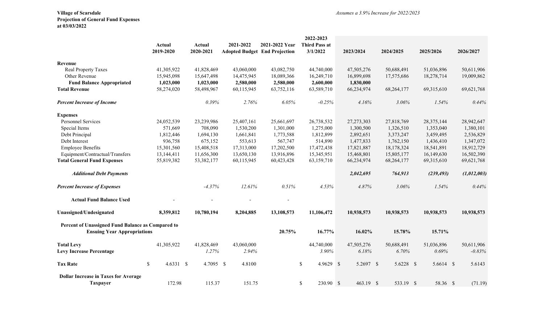|                                                      | Actual<br>2019-2020 | Actual<br>2020-2021 | 2021-2022           | 2021-2022 Year<br><b>Adopted Budget End Projection</b> |               | 2022-2023<br><b>Third Pass at</b><br>3/1/2022 | 2023/2024           | 2024/2025           | 2025/2026           | 2026/2027              |
|------------------------------------------------------|---------------------|---------------------|---------------------|--------------------------------------------------------|---------------|-----------------------------------------------|---------------------|---------------------|---------------------|------------------------|
| Revenue                                              |                     |                     |                     |                                                        |               |                                               |                     |                     |                     |                        |
| Real Property Taxes                                  | 41,305,922          | 41,828,469          | 43,060,000          | 43,082,750                                             |               | 44,740,000                                    | 47,505,276          | 50,688,491          | 51,036,896          | 50,611,906             |
| Other Revenue                                        | 15,945,098          | 15,647,498          | 14,475,945          | 18,089,366                                             |               | 16,249,710                                    | 16,899,698          | 17,575,686          | 18,278,714          | 19,009,862             |
| <b>Fund Balance Appropriated</b>                     | 1,023,000           | 1,023,000           | 2,580,000           | 2,580,000                                              |               | 2,600,000                                     | 1,830,000           |                     |                     |                        |
| <b>Total Revenue</b>                                 | 58,274,020          | 58,498,967          | 60,115,945          | 63,752,116                                             |               | 63,589,710                                    | 66,234,974          | 68,264,177          | 69,315,610          | 69,621,768             |
| <b>Percent Increase of Income</b>                    |                     | 0.39%               | 2.76%               | 6.05%                                                  |               | $-0.25%$                                      | 4.16%               | 3.06%               | 1.54%               | 0.44%                  |
| <b>Expenses</b>                                      |                     |                     |                     |                                                        |               |                                               |                     |                     |                     |                        |
| <b>Personnel Services</b>                            | 24,052,539          | 23,239,986          | 25,407,161          | 25,661,697                                             |               | 26,738,532                                    | 27,273,303          | 27,818,769          | 28,375,144          | 28,942,647             |
| Special Items                                        | 571,669             | 708,090             | 1,530,200           | 1,301,000                                              |               | 1,275,000                                     | 1,300,500           | 1,326,510           | 1,353,040           | 1,380,101              |
| Debt Principal                                       | 1,812,446           | 1,694,130           | 1,661,841           | 1,773,588                                              |               | 1,812,899                                     | 2,892,651           | 3,373,247           | 3,459,495           | 2,536,829              |
| Debt Interest                                        | 936,758             | 675,152             | 553,613             | 567,747                                                |               | 514,890                                       | 1,477,833           | 1,762,150           | 1,436,410           | 1,347,072              |
| <b>Employee Benefits</b>                             | 15,301,560          | 15,408,518          | 17,313,000          | 17,202,500                                             |               | 17,472,438                                    | 17,821,887          | 18,178,324          | 18,541,891          | 18,912,729             |
| Equipment/Contractual/Transfers                      | 13,144,411          | 11,656,300          | 13,650,130          | 13,916,896                                             |               | 15,345,951                                    | 15,468,801          | 15,805,177          | 16,149,630          | 16,502,390             |
| <b>Total General Fund Expenses</b>                   | 55,819,382          | 53,382,177          | 60,115,945          | 60,423,428                                             |               | 63,159,710                                    | 66,234,974          | 68,264,177          | 69,315,610          | 69,621,768             |
| <b>Additional Debt Payments</b>                      |                     |                     |                     |                                                        |               |                                               | 2,042,695           | 764,913             | (239, 493)          | (1,012,003)            |
| <b>Percent Increase of Expenses</b>                  |                     | $-4.37%$            | 12.61%              | 0.51%                                                  |               | 4.53%                                         | 4.87%               | 3.06%               | 1.54%               | 0.44%                  |
| <b>Actual Fund Balance Used</b>                      |                     |                     |                     |                                                        |               |                                               |                     |                     |                     |                        |
| Unassigned/Undesignated                              | 8,359,812           | 10,780,194          | 8,204,885           | 13,108,573                                             |               | 11,106,472                                    | 10,938,573          | 10,938,573          | 10,938,573          | 10,938,573             |
| Percent of Unassigned Fund Balance as Compared to    |                     |                     |                     |                                                        |               |                                               |                     |                     |                     |                        |
| <b>Ensuing Year Appropriations</b>                   |                     |                     |                     | 20.75%                                                 |               | 16.77%                                        | 16.02%              | 15.78%              | 15.71%              |                        |
| <b>Total Levy</b><br><b>Levy Increase Percentage</b> | 41,305,922          | 41,828,469<br>1.27% | 43,060,000<br>2.94% |                                                        |               | 44,740,000<br>3.90%                           | 47,505,276<br>6.18% | 50,688,491<br>6.70% | 51,036,896<br>0.69% | 50,611,906<br>$-0.83%$ |
| <b>Tax Rate</b>                                      | \$<br>4.6331 \$     | 4.7095 \$           | 4.8100              |                                                        | \$            | 4.9629 \$                                     | 5.2697 \$           | 5.6228 \$           | 5.6614 \$           | 5.6143                 |
| <b>Dollar Increase in Taxes for Average</b>          |                     |                     |                     |                                                        |               |                                               |                     |                     |                     |                        |
| <b>Taxpayer</b>                                      | 172.98              | 115.37              | 151.75              |                                                        | $\mathcal{S}$ | 230.90 \$                                     | 463.19 \$           | 533.19 \$           | 58.36 \$            | (71.19)                |